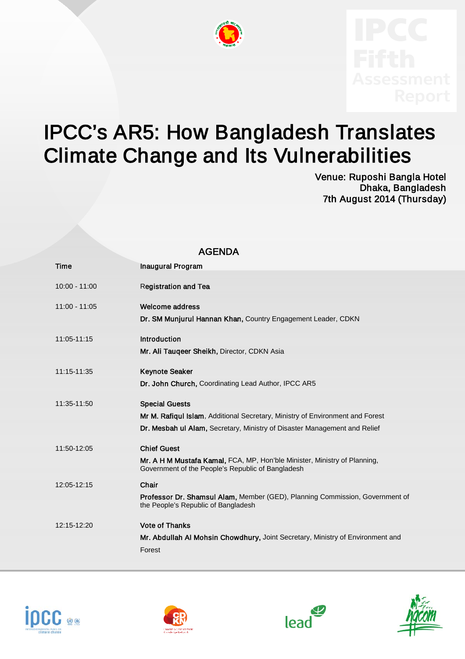

## IPCC's AR5: How Bangladesh Translates Climate Change and Its Vulnerabilities<br>Venue: Ruposhi Bangla Hotel

AGENDA

Dhaka, Bangladesh 7th August 2014 (Thursday)

| AULINUA |                 |                                                                                                                                |
|---------|-----------------|--------------------------------------------------------------------------------------------------------------------------------|
|         | <b>Time</b>     | <b>Inaugural Program</b>                                                                                                       |
|         | $10:00 - 11:00$ | <b>Registration and Tea</b>                                                                                                    |
|         | $11:00 - 11:05$ | <b>Welcome address</b>                                                                                                         |
|         |                 | Dr. SM Munjurul Hannan Khan, Country Engagement Leader, CDKN                                                                   |
|         | 11:05-11:15     | <b>Introduction</b>                                                                                                            |
|         |                 | Mr. Ali Taugeer Sheikh, Director, CDKN Asia                                                                                    |
|         | 11:15-11:35     | <b>Keynote Seaker</b>                                                                                                          |
|         |                 | Dr. John Church, Coordinating Lead Author, IPCC AR5                                                                            |
|         | 11:35-11:50     | <b>Special Guests</b>                                                                                                          |
|         |                 | Mr M. Rafiqul Islam, Additional Secretary, Ministry of Environment and Forest                                                  |
|         |                 | Dr. Mesbah ul Alam, Secretary, Ministry of Disaster Management and Relief                                                      |
|         | 11:50-12:05     | <b>Chief Guest</b>                                                                                                             |
|         |                 | Mr. A H M Mustafa Kamal, FCA, MP, Hon'ble Minister, Ministry of Planning,<br>Government of the People's Republic of Bangladesh |
|         | 12:05-12:15     | Chair                                                                                                                          |
|         |                 | Professor Dr. Shamsul Alam, Member (GED), Planning Commission, Government of<br>the People's Republic of Bangladesh            |
|         | 12:15-12:20     | <b>Vote of Thanks</b>                                                                                                          |
|         |                 | Mr. Abdullah Al Mohsin Chowdhury, Joint Secretary, Ministry of Environment and                                                 |
|         |                 | Forest                                                                                                                         |